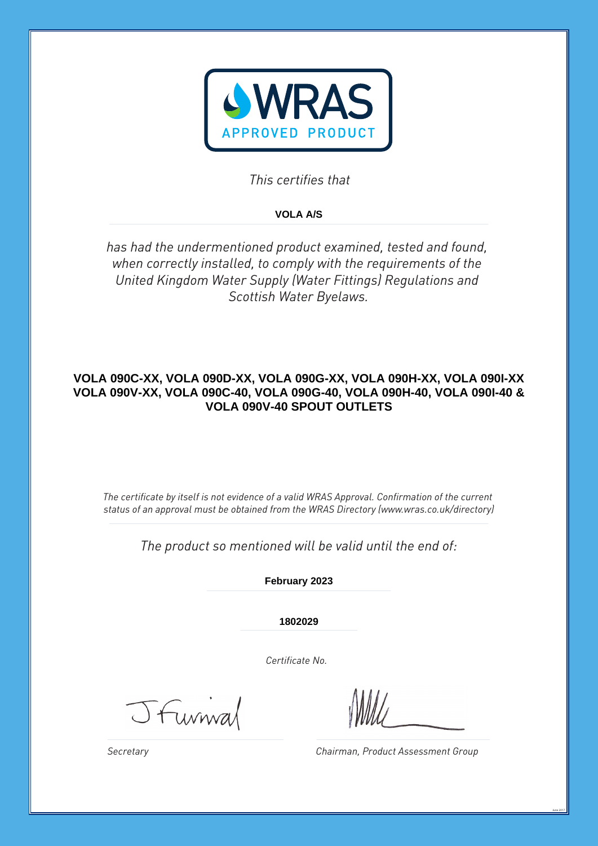

*This certifies that*

# **VOLA A/S**

*has had the undermentioned product examined, tested and found, when correctly installed, to comply with the requirements of the United Kingdom Water Supply (Water Fittings) Regulations and Scottish Water Byelaws.*

# **VOLA 090C-XX, VOLA 090D-XX, VOLA 090G-XX, VOLA 090H-XX, VOLA 090I-XX VOLA 090V-XX, VOLA 090C-40, VOLA 090G-40, VOLA 090H-40, VOLA 090I-40 & VOLA 090V-40 SPOUT OUTLETS**

*The certificate by itself is not evidence of a valid WRAS Approval. Confirmation of the current status of an approval must be obtained from the WRAS Directory (www.wras.co.uk/directory)*

*The product so mentioned will be valid until the end of:*

**February 2023**

**1802029**

*Certificate No.*

Jfurnial

*Chairman, Product Assessment Group*

June 2017

*Secretary*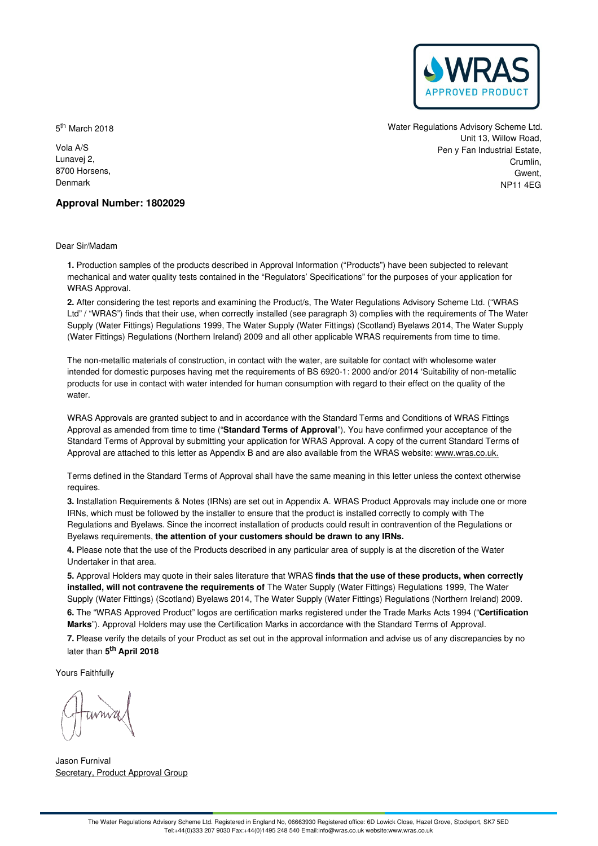

5<sup>th</sup> March 2018

Vola A/S Lunavej 2, 8700 Horsens, Denmark

Water Regulations Advisory Scheme Ltd. Unit 13, Willow Road, Pen y Fan Industrial Estate, Crumlin, Gwent NP11 4EG

# **Approval Number: 1802029**

Dear Sir/Madam

**1.** Production samples of the products described in Approval Information ("Products") have been subjected to relevant mechanical and water quality tests contained in the "Regulators' Specifications" for the purposes of your application for WRAS Approval.

**2.** After considering the test reports and examining the Product/s, The Water Regulations Advisory Scheme Ltd. ("WRAS Ltd" / "WRAS") finds that their use, when correctly installed (see paragraph 3) complies with the requirements of The Water Supply (Water Fittings) Regulations 1999, The Water Supply (Water Fittings) (Scotland) Byelaws 2014, The Water Supply (Water Fittings) Regulations (Northern Ireland) 2009 and all other applicable WRAS requirements from time to time.

The non-metallic materials of construction, in contact with the water, are suitable for contact with wholesome water intended for domestic purposes having met the requirements of BS 6920-1: 2000 and/or 2014 'Suitability of non-metallic products for use in contact with water intended for human consumption with regard to their effect on the quality of the water.

WRAS Approvals are granted subject to and in accordance with the Standard Terms and Conditions of WRAS Fittings Approval as amended from time to time ("**Standard Terms of Approval**"). You have confirmed your acceptance of the Standard Terms of Approval by submitting your application for WRAS Approval. A copy of the current Standard Terms of Approval are attached to this letter as Appendix B and are also available from the WRAS website: [www.wras.co.uk.](https://www.wras.co.uk)

Terms defined in the Standard Terms of Approval shall have the same meaning in this letter unless the context otherwise requires.

**3.** Installation Requirements & Notes (IRNs) are set out in Appendix A. WRAS Product Approvals may include one or more IRNs, which must be followed by the installer to ensure that the product is installed correctly to comply with The Regulations and Byelaws. Since the incorrect installation of products could result in contravention of the Regulations or Byelaws requirements, **the attention of your customers should be drawn to any IRNs.**

**4.** Please note that the use of the Products described in any particular area of supply is at the discretion of the Water Undertaker in that area.

**5.** Approval Holders may quote in their sales literature that WRAS **finds that the use of these products, when correctly installed, will not contravene the requirements of** The Water Supply (Water Fittings) Regulations 1999, The Water Supply (Water Fittings) (Scotland) Byelaws 2014, The Water Supply (Water Fittings) Regulations (Northern Ireland) 2009. **6.** The "WRAS Approved Product" logos are certification marks registered under the Trade Marks Acts 1994 ("**Certification**

**Marks**"). Approval Holders may use the Certification Marks in accordance with the Standard Terms of Approval.

**7.** Please verify the details of your Product as set out in the approval information and advise us of any discrepancies by no later than **5 th April 2018**

Yours Faithfully

Jason Furnival Secretary, Product Approval Group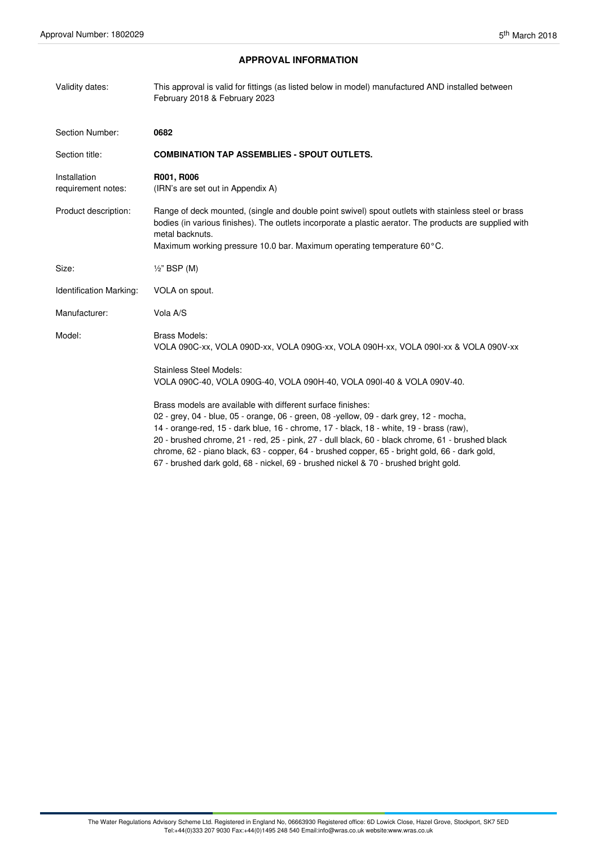# **APPROVAL INFORMATION**

| Validity dates:                    | This approval is valid for fittings (as listed below in model) manufactured AND installed between<br>February 2018 & February 2023                                                                                                                                                                                                                                                                                                                    |
|------------------------------------|-------------------------------------------------------------------------------------------------------------------------------------------------------------------------------------------------------------------------------------------------------------------------------------------------------------------------------------------------------------------------------------------------------------------------------------------------------|
| Section Number:                    | 0682                                                                                                                                                                                                                                                                                                                                                                                                                                                  |
| Section title:                     | <b>COMBINATION TAP ASSEMBLIES - SPOUT OUTLETS.</b>                                                                                                                                                                                                                                                                                                                                                                                                    |
| Installation<br>requirement notes: | R001, R006<br>(IRN's are set out in Appendix A)                                                                                                                                                                                                                                                                                                                                                                                                       |
| Product description:               | Range of deck mounted, (single and double point swivel) spout outlets with stainless steel or brass<br>bodies (in various finishes). The outlets incorporate a plastic aerator. The products are supplied with<br>metal backnuts.<br>Maximum working pressure 10.0 bar. Maximum operating temperature 60°C.                                                                                                                                           |
| Size:                              | $\frac{1}{2}$ " BSP (M)                                                                                                                                                                                                                                                                                                                                                                                                                               |
| Identification Marking:            | VOLA on spout.                                                                                                                                                                                                                                                                                                                                                                                                                                        |
| Manufacturer:                      | Vola A/S                                                                                                                                                                                                                                                                                                                                                                                                                                              |
| Model:                             | Brass Models:<br>VOLA 090C-xx, VOLA 090D-xx, VOLA 090G-xx, VOLA 090H-xx, VOLA 090I-xx & VOLA 090V-xx                                                                                                                                                                                                                                                                                                                                                  |
|                                    | <b>Stainless Steel Models:</b><br>VOLA 090C-40, VOLA 090G-40, VOLA 090H-40, VOLA 090I-40 & VOLA 090V-40.                                                                                                                                                                                                                                                                                                                                              |
|                                    | Brass models are available with different surface finishes:<br>02 - grey, 04 - blue, 05 - orange, 06 - green, 08 -yellow, 09 - dark grey, 12 - mocha,<br>14 - orange-red, 15 - dark blue, 16 - chrome, 17 - black, 18 - white, 19 - brass (raw),<br>20 - brushed chrome, 21 - red, 25 - pink, 27 - dull black, 60 - black chrome, 61 - brushed black<br>chrome, 62 - piano black, 63 - copper, 64 - brushed copper, 65 - bright gold, 66 - dark gold, |

67 - brushed dark gold, 68 - nickel, 69 - brushed nickel & 70 - brushed bright gold.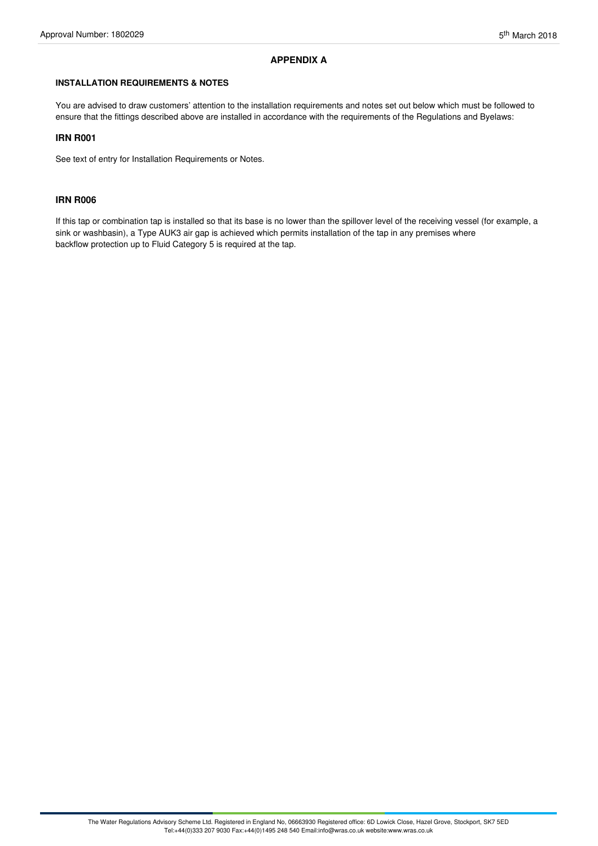# **APPENDIX A**

# **INSTALLATION REQUIREMENTS & NOTES**

You are advised to draw customers' attention to the installation requirements and notes set out below which must be followed to ensure that the fittings described above are installed in accordance with the requirements of the Regulations and Byelaws:

# **IRN R001**

See text of entry for Installation Requirements or Notes.

### **IRN R006**

If this tap or combination tap is installed so that its base is no lower than the spillover level of the receiving vessel (for example, a sink or washbasin), a Type AUK3 air gap is achieved which permits installation of the tap in any premises where backflow protection up to Fluid Category 5 is required at the tap.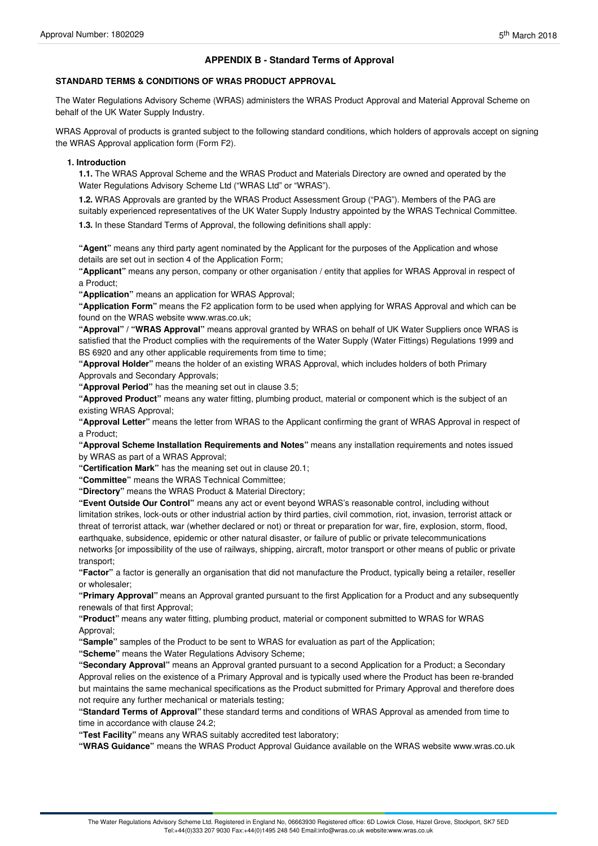# **APPENDIX B - Standard Terms of Approval**

# **STANDARD TERMS & CONDITIONS OF WRAS PRODUCT APPROVAL**

The Water Regulations Advisory Scheme (WRAS) administers the WRAS Product Approval and Material Approval Scheme on behalf of the UK Water Supply Industry.

WRAS Approval of products is granted subject to the following standard conditions, which holders of approvals accept on signing the WRAS Approval application form (Form F2).

### **1. Introduction**

**1.1.** The WRAS Approval Scheme and the WRAS Product and Materials Directory are owned and operated by the Water Regulations Advisory Scheme Ltd ("WRAS Ltd" or "WRAS").

**1.2.** WRAS Approvals are granted by the WRAS Product Assessment Group ("PAG"). Members of the PAG are suitably experienced representatives of the UK Water Supply Industry appointed by the WRAS Technical Committee.

**1.3.** In these Standard Terms of Approval, the following definitions shall apply:

**"Agent"** means any third party agent nominated by the Applicant for the purposes of the Application and whose details are set out in section 4 of the Application Form;

**"Applicant"** means any person, company or other organisation / entity that applies for WRAS Approval in respect of a Product;

**"Application"** means an application for WRAS Approval;

**"Application Form"** means the F2 application form to be used when applying for WRAS Approval and which can be found on the WRAS website www.wras.co.uk;

**"Approval" / "WRAS Approval"** means approval granted by WRAS on behalf of UK Water Suppliers once WRAS is satisfied that the Product complies with the requirements of the Water Supply (Water Fittings) Regulations 1999 and BS 6920 and any other applicable requirements from time to time;

**"Approval Holder"** means the holder of an existing WRAS Approval, which includes holders of both Primary Approvals and Secondary Approvals;

**"Approval Period"** has the meaning set out in clause 3.5;

**"Approved Product"** means any water fitting, plumbing product, material or component which is the subject of an existing WRAS Approval;

**"Approval Letter"** means the letter from WRAS to the Applicant confirming the grant of WRAS Approval in respect of a Product;

**"Approval Scheme Installation Requirements and Notes"** means any installation requirements and notes issued by WRAS as part of a WRAS Approval;

**"Certification Mark"** has the meaning set out in clause 20.1;

**"Committee"** means the WRAS Technical Committee;

**"Directory"** means the WRAS Product & Material Directory;

**"Event Outside Our Control"** means any act or event beyond WRAS's reasonable control, including without limitation strikes, lock-outs or other industrial action by third parties, civil commotion, riot, invasion, terrorist attack or threat of terrorist attack, war (whether declared or not) or threat or preparation for war, fire, explosion, storm, flood, earthquake, subsidence, epidemic or other natural disaster, or failure of public or private telecommunications networks [or impossibility of the use of railways, shipping, aircraft, motor transport or other means of public or private transport;

**"Factor"** a factor is generally an organisation that did not manufacture the Product, typically being a retailer, reseller or wholesaler;

**"Primary Approval"** means an Approval granted pursuant to the first Application for a Product and any subsequently renewals of that first Approval;

**"Product"** means any water fitting, plumbing product, material or component submitted to WRAS for WRAS Approval;

**"Sample"** samples of the Product to be sent to WRAS for evaluation as part of the Application;

**"Scheme"** means the Water Regulations Advisory Scheme;

**"Secondary Approval"** means an Approval granted pursuant to a second Application for a Product; a Secondary Approval relies on the existence of a Primary Approval and is typically used where the Product has been re-branded but maintains the same mechanical specifications as the Product submitted for Primary Approval and therefore does not require any further mechanical or materials testing;

**"Standard Terms of Approval"** these standard terms and conditions of WRAS Approval as amended from time to time in accordance with clause 24.2;

**"Test Facility"** means any WRAS suitably accredited test laboratory;

**"WRAS Guidance"** means the WRAS Product Approval Guidance available on the WRAS website www.wras.co.uk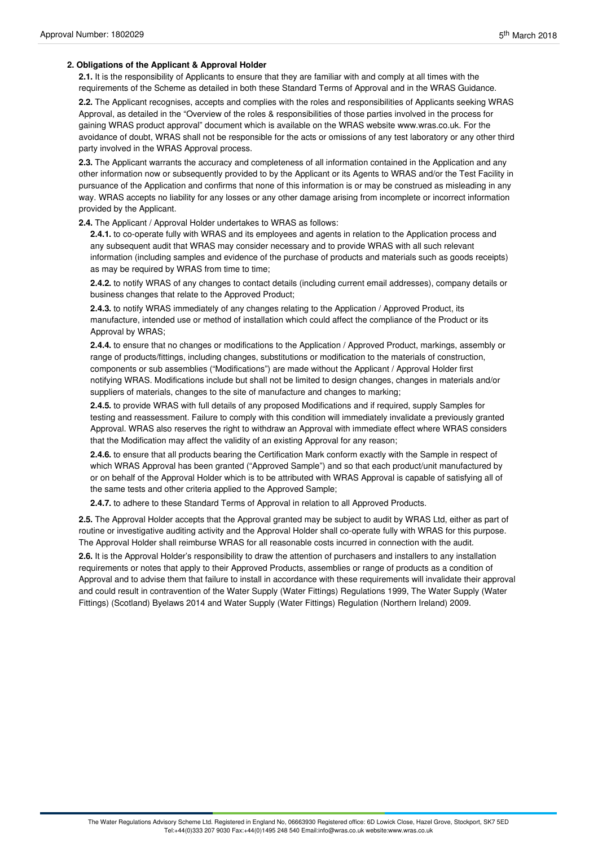# **2. Obligations of the Applicant & Approval Holder**

**2.1.** It is the responsibility of Applicants to ensure that they are familiar with and comply at all times with the requirements of the Scheme as detailed in both these Standard Terms of Approval and in the WRAS Guidance.

**2.2.** The Applicant recognises, accepts and complies with the roles and responsibilities of Applicants seeking WRAS Approval, as detailed in the "Overview of the roles & responsibilities of those parties involved in the process for gaining WRAS product approval" document which is available on the WRAS website www.wras.co.uk. For the avoidance of doubt, WRAS shall not be responsible for the acts or omissions of any test laboratory or any other third party involved in the WRAS Approval process.

**2.3.** The Applicant warrants the accuracy and completeness of all information contained in the Application and any other information now or subsequently provided to by the Applicant or its Agents to WRAS and/or the Test Facility in pursuance of the Application and confirms that none of this information is or may be construed as misleading in any way. WRAS accepts no liability for any losses or any other damage arising from incomplete or incorrect information provided by the Applicant.

**2.4.** The Applicant / Approval Holder undertakes to WRAS as follows:

**2.4.1.** to co-operate fully with WRAS and its employees and agents in relation to the Application process and any subsequent audit that WRAS may consider necessary and to provide WRAS with all such relevant information (including samples and evidence of the purchase of products and materials such as goods receipts) as may be required by WRAS from time to time;

**2.4.2.** to notify WRAS of any changes to contact details (including current email addresses), company details or business changes that relate to the Approved Product;

**2.4.3.** to notify WRAS immediately of any changes relating to the Application / Approved Product, its manufacture, intended use or method of installation which could affect the compliance of the Product or its Approval by WRAS;

**2.4.4.** to ensure that no changes or modifications to the Application / Approved Product, markings, assembly or range of products/fittings, including changes, substitutions or modification to the materials of construction, components or sub assemblies ("Modifications") are made without the Applicant / Approval Holder first notifying WRAS. Modifications include but shall not be limited to design changes, changes in materials and/or suppliers of materials, changes to the site of manufacture and changes to marking;

**2.4.5.** to provide WRAS with full details of any proposed Modifications and if required, supply Samples for testing and reassessment. Failure to comply with this condition will immediately invalidate a previously granted Approval. WRAS also reserves the right to withdraw an Approval with immediate effect where WRAS considers that the Modification may affect the validity of an existing Approval for any reason;

**2.4.6.** to ensure that all products bearing the Certification Mark conform exactly with the Sample in respect of which WRAS Approval has been granted ("Approved Sample") and so that each product/unit manufactured by or on behalf of the Approval Holder which is to be attributed with WRAS Approval is capable of satisfying all of the same tests and other criteria applied to the Approved Sample;

**2.4.7.** to adhere to these Standard Terms of Approval in relation to all Approved Products.

**2.5.** The Approval Holder accepts that the Approval granted may be subject to audit by WRAS Ltd, either as part of routine or investigative auditing activity and the Approval Holder shall co-operate fully with WRAS for this purpose. The Approval Holder shall reimburse WRAS for all reasonable costs incurred in connection with the audit.

**2.6.** It is the Approval Holder's responsibility to draw the attention of purchasers and installers to any installation requirements or notes that apply to their Approved Products, assemblies or range of products as a condition of Approval and to advise them that failure to install in accordance with these requirements will invalidate their approval and could result in contravention of the Water Supply (Water Fittings) Regulations 1999, The Water Supply (Water Fittings) (Scotland) Byelaws 2014 and Water Supply (Water Fittings) Regulation (Northern Ireland) 2009.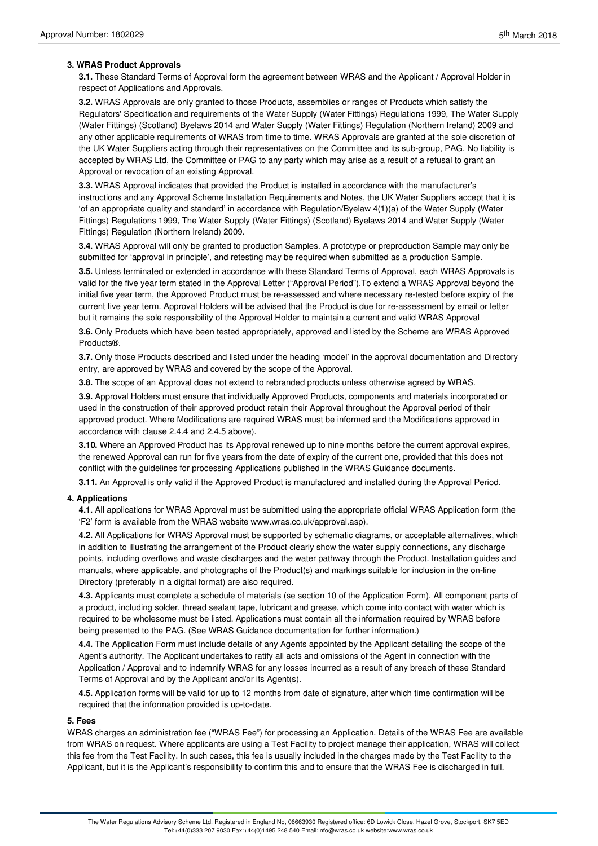# **3. WRAS Product Approvals**

**3.1.** These Standard Terms of Approval form the agreement between WRAS and the Applicant / Approval Holder in respect of Applications and Approvals.

**3.2.** WRAS Approvals are only granted to those Products, assemblies or ranges of Products which satisfy the Regulators' Specification and requirements of the Water Supply (Water Fittings) Regulations 1999, The Water Supply (Water Fittings) (Scotland) Byelaws 2014 and Water Supply (Water Fittings) Regulation (Northern Ireland) 2009 and any other applicable requirements of WRAS from time to time. WRAS Approvals are granted at the sole discretion of the UK Water Suppliers acting through their representatives on the Committee and its sub-group, PAG. No liability is accepted by WRAS Ltd, the Committee or PAG to any party which may arise as a result of a refusal to grant an Approval or revocation of an existing Approval.

**3.3.** WRAS Approval indicates that provided the Product is installed in accordance with the manufacturer's instructions and any Approval Scheme Installation Requirements and Notes, the UK Water Suppliers accept that it is 'of an appropriate quality and standard' in accordance with Regulation/Byelaw 4(1)(a) of the Water Supply (Water Fittings) Regulations 1999, The Water Supply (Water Fittings) (Scotland) Byelaws 2014 and Water Supply (Water Fittings) Regulation (Northern Ireland) 2009.

**3.4.** WRAS Approval will only be granted to production Samples. A prototype or preproduction Sample may only be submitted for 'approval in principle', and retesting may be required when submitted as a production Sample.

**3.5.** Unless terminated or extended in accordance with these Standard Terms of Approval, each WRAS Approvals is valid for the five year term stated in the Approval Letter ("Approval Period").To extend a WRAS Approval beyond the initial five year term, the Approved Product must be re-assessed and where necessary re-tested before expiry of the current five year term. Approval Holders will be advised that the Product is due for re-assessment by email or letter but it remains the sole responsibility of the Approval Holder to maintain a current and valid WRAS Approval

**3.6.** Only Products which have been tested appropriately, approved and listed by the Scheme are WRAS Approved Products®.

**3.7.** Only those Products described and listed under the heading 'model' in the approval documentation and Directory entry, are approved by WRAS and covered by the scope of the Approval.

**3.8.** The scope of an Approval does not extend to rebranded products unless otherwise agreed by WRAS.

**3.9.** Approval Holders must ensure that individually Approved Products, components and materials incorporated or used in the construction of their approved product retain their Approval throughout the Approval period of their approved product. Where Modifications are required WRAS must be informed and the Modifications approved in accordance with clause 2.4.4 and 2.4.5 above).

**3.10.** Where an Approved Product has its Approval renewed up to nine months before the current approval expires, the renewed Approval can run for five years from the date of expiry of the current one, provided that this does not conflict with the guidelines for processing Applications published in the WRAS Guidance documents.

**3.11.** An Approval is only valid if the Approved Product is manufactured and installed during the Approval Period.

# **4. Applications**

**4.1.** All applications for WRAS Approval must be submitted using the appropriate official WRAS Application form (the 'F2' form is available from the WRAS website www.wras.co.uk/approval.asp).

**4.2.** All Applications for WRAS Approval must be supported by schematic diagrams, or acceptable alternatives, which in addition to illustrating the arrangement of the Product clearly show the water supply connections, any discharge points, including overflows and waste discharges and the water pathway through the Product. Installation guides and manuals, where applicable, and photographs of the Product(s) and markings suitable for inclusion in the on-line Directory (preferably in a digital format) are also required.

**4.3.** Applicants must complete a schedule of materials (se section 10 of the Application Form). All component parts of a product, including solder, thread sealant tape, lubricant and grease, which come into contact with water which is required to be wholesome must be listed. Applications must contain all the information required by WRAS before being presented to the PAG. (See WRAS Guidance documentation for further information.)

**4.4.** The Application Form must include details of any Agents appointed by the Applicant detailing the scope of the Agent's authority. The Applicant undertakes to ratify all acts and omissions of the Agent in connection with the Application / Approval and to indemnify WRAS for any losses incurred as a result of any breach of these Standard Terms of Approval and by the Applicant and/or its Agent(s).

**4.5.** Application forms will be valid for up to 12 months from date of signature, after which time confirmation will be required that the information provided is up-to-date.

#### **5. Fees**

WRAS charges an administration fee ("WRAS Fee") for processing an Application. Details of the WRAS Fee are available from WRAS on request. Where applicants are using a Test Facility to project manage their application, WRAS will collect this fee from the Test Facility. In such cases, this fee is usually included in the charges made by the Test Facility to the Applicant, but it is the Applicant's responsibility to confirm this and to ensure that the WRAS Fee is discharged in full.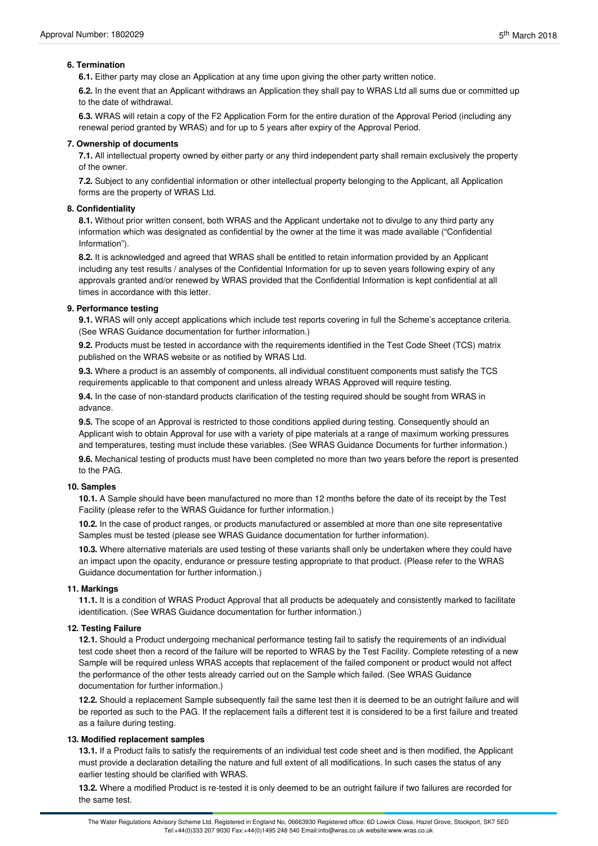# **6. Termination**

**6.1.** Either party may close an Application at any time upon giving the other party written notice.

**6.2.** In the event that an Applicant withdraws an Application they shall pay to WRAS Ltd all sums due or committed up to the date of withdrawal.

**6.3.** WRAS will retain a copy of the F2 Application Form for the entire duration of the Approval Period (including any renewal period granted by WRAS) and for up to 5 years after expiry of the Approval Period.

# **7. Ownership of documents**

**7.1.** All intellectual property owned by either party or any third independent party shall remain exclusively the property of the owner.

**7.2.** Subject to any confidential information or other intellectual property belonging to the Applicant, all Application forms are the property of WRAS Ltd.

# **8. Confidentiality**

**8.1.** Without prior written consent, both WRAS and the Applicant undertake not to divulge to any third party any information which was designated as confidential by the owner at the time it was made available ("Confidential Information").

**8.2.** It is acknowledged and agreed that WRAS shall be entitled to retain information provided by an Applicant including any test results / analyses of the Confidential Information for up to seven years following expiry of any approvals granted and/or renewed by WRAS provided that the Confidential Information is kept confidential at all times in accordance with this letter.

#### **9. Performance testing**

**9.1.** WRAS will only accept applications which include test reports covering in full the Scheme's acceptance criteria. (See WRAS Guidance documentation for further information.)

**9.2.** Products must be tested in accordance with the requirements identified in the Test Code Sheet (TCS) matrix published on the WRAS website or as notified by WRAS Ltd.

**9.3.** Where a product is an assembly of components, all individual constituent components must satisfy the TCS requirements applicable to that component and unless already WRAS Approved will require testing.

**9.4.** In the case of non-standard products clarification of the testing required should be sought from WRAS in advance.

**9.5.** The scope of an Approval is restricted to those conditions applied during testing. Consequently should an Applicant wish to obtain Approval for use with a variety of pipe materials at a range of maximum working pressures and temperatures, testing must include these variables. (See WRAS Guidance Documents for further information.) **9.6.** Mechanical testing of products must have been completed no more than two years before the report is presented to the PAG.

#### **10. Samples**

**10.1.** A Sample should have been manufactured no more than 12 months before the date of its receipt by the Test Facility (please refer to the WRAS Guidance for further information.)

**10.2.** In the case of product ranges, or products manufactured or assembled at more than one site representative Samples must be tested (please see WRAS Guidance documentation for further information).

**10.3.** Where alternative materials are used testing of these variants shall only be undertaken where they could have an impact upon the opacity, endurance or pressure testing appropriate to that product. (Please refer to the WRAS Guidance documentation for further information.)

#### **11. Markings**

**11.1.** It is a condition of WRAS Product Approval that all products be adequately and consistently marked to facilitate identification. (See WRAS Guidance documentation for further information.)

# **12. Testing Failure**

**12.1.** Should a Product undergoing mechanical performance testing fail to satisfy the requirements of an individual test code sheet then a record of the failure will be reported to WRAS by the Test Facility. Complete retesting of a new Sample will be required unless WRAS accepts that replacement of the failed component or product would not affect the performance of the other tests already carried out on the Sample which failed. (See WRAS Guidance documentation for further information.)

**12.2.** Should a replacement Sample subsequently fail the same test then it is deemed to be an outright failure and will be reported as such to the PAG. If the replacement fails a different test it is considered to be a first failure and treated as a failure during testing.

# **13. Modified replacement samples**

**13.1.** If a Product fails to satisfy the requirements of an individual test code sheet and is then modified, the Applicant must provide a declaration detailing the nature and full extent of all modifications. In such cases the status of any earlier testing should be clarified with WRAS.

**13.2.** Where a modified Product is re-tested it is only deemed to be an outright failure if two failures are recorded for the same test.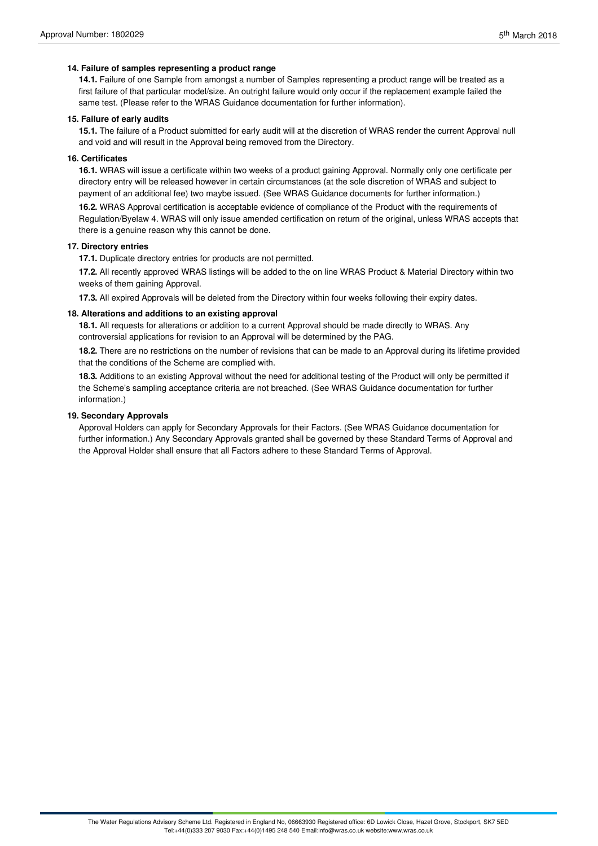# **14. Failure of samples representing a product range**

**14.1.** Failure of one Sample from amongst a number of Samples representing a product range will be treated as a first failure of that particular model/size. An outright failure would only occur if the replacement example failed the same test. (Please refer to the WRAS Guidance documentation for further information).

### **15. Failure of early audits**

**15.1.** The failure of a Product submitted for early audit will at the discretion of WRAS render the current Approval null and void and will result in the Approval being removed from the Directory.

# **16. Certificates**

**16.1.** WRAS will issue a certificate within two weeks of a product gaining Approval. Normally only one certificate per directory entry will be released however in certain circumstances (at the sole discretion of WRAS and subject to payment of an additional fee) two maybe issued. (See WRAS Guidance documents for further information.)

**16.2.** WRAS Approval certification is acceptable evidence of compliance of the Product with the requirements of Regulation/Byelaw 4. WRAS will only issue amended certification on return of the original, unless WRAS accepts that there is a genuine reason why this cannot be done.

# **17. Directory entries**

**17.1.** Duplicate directory entries for products are not permitted.

**17.2.** All recently approved WRAS listings will be added to the on line WRAS Product & Material Directory within two weeks of them gaining Approval.

**17.3.** All expired Approvals will be deleted from the Directory within four weeks following their expiry dates.

#### **18. Alterations and additions to an existing approval**

18.1. All requests for alterations or addition to a current Approval should be made directly to WRAS. Any controversial applications for revision to an Approval will be determined by the PAG.

**18.2.** There are no restrictions on the number of revisions that can be made to an Approval during its lifetime provided that the conditions of the Scheme are complied with.

**18.3.** Additions to an existing Approval without the need for additional testing of the Product will only be permitted if the Scheme's sampling acceptance criteria are not breached. (See WRAS Guidance documentation for further information.)

#### **19. Secondary Approvals**

Approval Holders can apply for Secondary Approvals for their Factors. (See WRAS Guidance documentation for further information.) Any Secondary Approvals granted shall be governed by these Standard Terms of Approval and the Approval Holder shall ensure that all Factors adhere to these Standard Terms of Approval.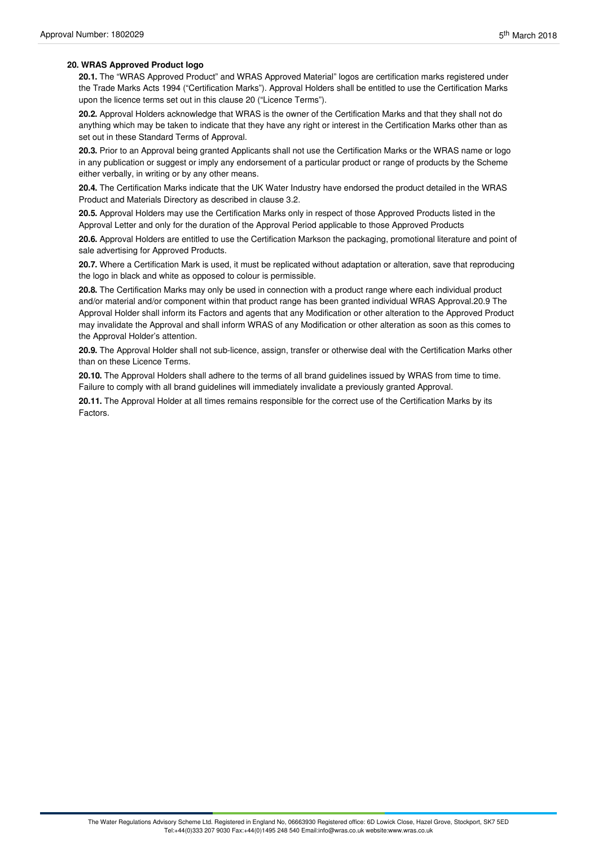# **20. WRAS Approved Product logo**

**20.1.** The "WRAS Approved Product" and WRAS Approved Material" logos are certification marks registered under the Trade Marks Acts 1994 ("Certification Marks"). Approval Holders shall be entitled to use the Certification Marks upon the licence terms set out in this clause 20 ("Licence Terms").

**20.2.** Approval Holders acknowledge that WRAS is the owner of the Certification Marks and that they shall not do anything which may be taken to indicate that they have any right or interest in the Certification Marks other than as set out in these Standard Terms of Approval.

**20.3.** Prior to an Approval being granted Applicants shall not use the Certification Marks or the WRAS name or logo in any publication or suggest or imply any endorsement of a particular product or range of products by the Scheme either verbally, in writing or by any other means.

**20.4.** The Certification Marks indicate that the UK Water Industry have endorsed the product detailed in the WRAS Product and Materials Directory as described in clause 3.2.

**20.5.** Approval Holders may use the Certification Marks only in respect of those Approved Products listed in the Approval Letter and only for the duration of the Approval Period applicable to those Approved Products

**20.6.** Approval Holders are entitled to use the Certification Markson the packaging, promotional literature and point of sale advertising for Approved Products.

**20.7.** Where a Certification Mark is used, it must be replicated without adaptation or alteration, save that reproducing the logo in black and white as opposed to colour is permissible.

**20.8.** The Certification Marks may only be used in connection with a product range where each individual product and/or material and/or component within that product range has been granted individual WRAS Approval.20.9 The Approval Holder shall inform its Factors and agents that any Modification or other alteration to the Approved Product may invalidate the Approval and shall inform WRAS of any Modification or other alteration as soon as this comes to the Approval Holder's attention.

**20.9.** The Approval Holder shall not sub-licence, assign, transfer or otherwise deal with the Certification Marks other than on these Licence Terms.

**20.10.** The Approval Holders shall adhere to the terms of all brand guidelines issued by WRAS from time to time. Failure to comply with all brand guidelines will immediately invalidate a previously granted Approval.

**20.11.** The Approval Holder at all times remains responsible for the correct use of the Certification Marks by its Factors.